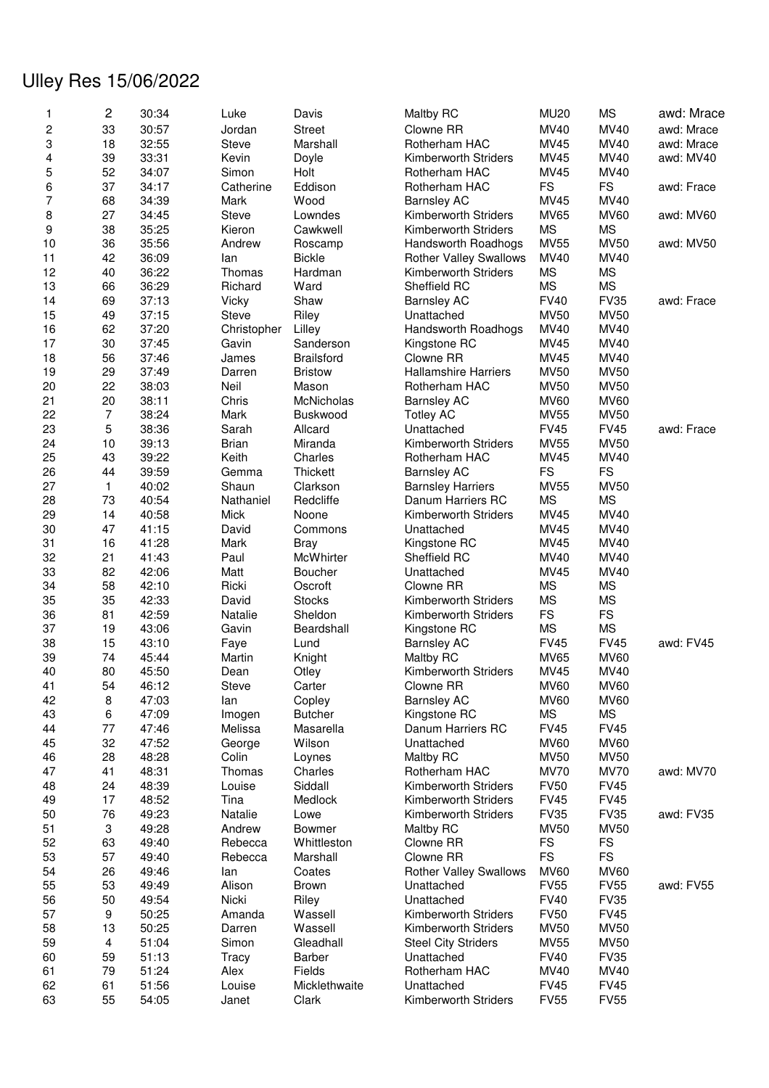## Ulley Res 15/06/2022

| 1              | 2              | 30:34 | Luke         | Davis             | Maltby RC                     | <b>MU20</b> | <b>MS</b>   | awd: Mrace |
|----------------|----------------|-------|--------------|-------------------|-------------------------------|-------------|-------------|------------|
| 2              | 33             | 30:57 | Jordan       | <b>Street</b>     | Clowne RR                     | MV40        | <b>MV40</b> | awd: Mrace |
| 3              | 18             | 32:55 | Steve        | Marshall          | Rotherham HAC                 | <b>MV45</b> | <b>MV40</b> | awd: Mrace |
| 4              | 39             | 33:31 | Kevin        | Doyle             | Kimberworth Striders          | <b>MV45</b> | MV40        | awd: MV40  |
| 5              | 52             | 34:07 | Simon        | Holt              | Rotherham HAC                 | <b>MV45</b> | MV40        |            |
| 6              | 37             | 34:17 | Catherine    | Eddison           | Rotherham HAC                 | <b>FS</b>   | <b>FS</b>   | awd: Frace |
| $\overline{7}$ | 68             | 34:39 | Mark         | Wood              |                               | MV45        | MV40        |            |
|                |                |       |              |                   | <b>Barnsley AC</b>            |             |             |            |
| 8              | 27             | 34:45 | <b>Steve</b> | Lowndes           | Kimberworth Striders          | <b>MV65</b> | <b>MV60</b> | awd: MV60  |
| 9              | 38             | 35:25 | Kieron       | Cawkwell          | Kimberworth Striders          | <b>MS</b>   | <b>MS</b>   |            |
| 10             | 36             | 35:56 | Andrew       | Roscamp           | Handsworth Roadhogs           | <b>MV55</b> | <b>MV50</b> | awd: MV50  |
| 11             | 42             | 36:09 | lan          | <b>Bickle</b>     | <b>Rother Valley Swallows</b> | MV40        | MV40        |            |
| 12             | 40             | 36:22 | Thomas       | Hardman           | <b>Kimberworth Striders</b>   | <b>MS</b>   | <b>MS</b>   |            |
| 13             | 66             | 36:29 | Richard      | Ward              | Sheffield RC                  | <b>MS</b>   | <b>MS</b>   |            |
| 14             | 69             | 37:13 | Vicky        | Shaw              | <b>Barnsley AC</b>            | <b>FV40</b> | <b>FV35</b> | awd: Frace |
| 15             | 49             | 37:15 | Steve        | Riley             | Unattached                    | <b>MV50</b> | <b>MV50</b> |            |
| 16             | 62             | 37:20 | Christopher  | Lilley            | Handsworth Roadhogs           | MV40        | <b>MV40</b> |            |
| 17             | 30             | 37:45 | Gavin        | Sanderson         | Kingstone RC                  | <b>MV45</b> | MV40        |            |
| 18             | 56             | 37:46 | James        | <b>Brailsford</b> | Clowne RR                     | <b>MV45</b> | <b>MV40</b> |            |
| 19             | 29             | 37:49 | Darren       | <b>Bristow</b>    | <b>Hallamshire Harriers</b>   | <b>MV50</b> | <b>MV50</b> |            |
|                |                |       |              |                   |                               |             |             |            |
| 20             | 22             | 38:03 | Neil         | Mason             | Rotherham HAC                 | <b>MV50</b> | <b>MV50</b> |            |
| 21             | 20             | 38:11 | Chris        | <b>McNicholas</b> | <b>Barnsley AC</b>            | <b>MV60</b> | <b>MV60</b> |            |
| 22             | $\overline{7}$ | 38:24 | Mark         | <b>Buskwood</b>   | <b>Totley AC</b>              | <b>MV55</b> | <b>MV50</b> |            |
| 23             | 5              | 38:36 | Sarah        | Allcard           | Unattached                    | <b>FV45</b> | <b>FV45</b> | awd: Frace |
| 24             | 10             | 39:13 | <b>Brian</b> | Miranda           | Kimberworth Striders          | <b>MV55</b> | <b>MV50</b> |            |
| 25             | 43             | 39:22 | Keith        | Charles           | Rotherham HAC                 | <b>MV45</b> | <b>MV40</b> |            |
| 26             | 44             | 39:59 | Gemma        | Thickett          | <b>Barnsley AC</b>            | <b>FS</b>   | <b>FS</b>   |            |
| 27             | $\mathbf{1}$   | 40:02 | Shaun        | Clarkson          | <b>Barnsley Harriers</b>      | <b>MV55</b> | <b>MV50</b> |            |
| 28             | 73             | 40:54 | Nathaniel    | Redcliffe         | Danum Harriers RC             | <b>MS</b>   | <b>MS</b>   |            |
| 29             | 14             | 40:58 | Mick         | Noone             | Kimberworth Striders          | <b>MV45</b> | <b>MV40</b> |            |
| 30             | 47             | 41:15 | David        | Commons           | Unattached                    | <b>MV45</b> | MV40        |            |
| 31             | 16             | 41:28 | Mark         | <b>Bray</b>       | Kingstone RC                  | <b>MV45</b> | <b>MV40</b> |            |
|                |                |       |              |                   |                               |             |             |            |
| 32             | 21             | 41:43 | Paul         | McWhirter         | Sheffield RC                  | MV40        | MV40        |            |
| 33             | 82             | 42:06 | Matt         | <b>Boucher</b>    | Unattached                    | MV45        | MV40        |            |
| 34             | 58             | 42:10 | Ricki        | Oscroft           | Clowne RR                     | <b>MS</b>   | <b>MS</b>   |            |
| 35             | 35             | 42:33 | David        | <b>Stocks</b>     | Kimberworth Striders          | <b>MS</b>   | <b>MS</b>   |            |
| 36             | 81             | 42:59 | Natalie      | Sheldon           | Kimberworth Striders          | <b>FS</b>   | FS          |            |
| 37             | 19             | 43:06 | Gavin        | Beardshall        | Kingstone RC                  | <b>MS</b>   | <b>MS</b>   |            |
| 38             | 15             | 43:10 | Faye         | Lund              | <b>Barnsley AC</b>            | <b>FV45</b> | <b>FV45</b> | awd: FV45  |
| 39             | 74             | 45:44 | Martin       | Knight            | Maltby RC                     | MV65        | <b>MV60</b> |            |
| 40             | 80             | 45:50 | Dean         | Otley             | Kimberworth Striders          | <b>MV45</b> | MV40        |            |
| 41             | 54             | 46:12 | Steve        | Carter            | Clowne RR                     | <b>MV60</b> | <b>MV60</b> |            |
| 42             | 8              | 47:03 | lan          | Copley            | <b>Barnsley AC</b>            | <b>MV60</b> | <b>MV60</b> |            |
| 43             | 6              | 47:09 | Imogen       | <b>Butcher</b>    | Kingstone RC                  | <b>MS</b>   | <b>MS</b>   |            |
| 44             | 77             | 47:46 | Melissa      | Masarella         | Danum Harriers RC             | <b>FV45</b> | <b>FV45</b> |            |
|                |                |       |              |                   |                               |             |             |            |
| 45             | 32             | 47:52 | George       | Wilson            | Unattached                    | <b>MV60</b> | <b>MV60</b> |            |
| 46             | 28             | 48:28 | Colin        | Loynes            | Maltby RC                     | <b>MV50</b> | <b>MV50</b> |            |
| 47             | 41             | 48:31 | Thomas       | Charles           | Rotherham HAC                 | <b>MV70</b> | <b>MV70</b> | awd: MV70  |
| 48             | 24             | 48:39 | Louise       | Siddall           | Kimberworth Striders          | <b>FV50</b> | <b>FV45</b> |            |
| 49             | 17             | 48:52 | Tina         | Medlock           | Kimberworth Striders          | <b>FV45</b> | <b>FV45</b> |            |
| 50             | 76             | 49:23 | Natalie      | Lowe              | Kimberworth Striders          | <b>FV35</b> | <b>FV35</b> | awd: FV35  |
| 51             | 3              | 49:28 | Andrew       | Bowmer            | Maltby RC                     | <b>MV50</b> | <b>MV50</b> |            |
| 52             | 63             | 49:40 | Rebecca      | Whittleston       | Clowne RR                     | <b>FS</b>   | <b>FS</b>   |            |
| 53             | 57             | 49:40 | Rebecca      | Marshall          | Clowne RR                     | <b>FS</b>   | <b>FS</b>   |            |
| 54             | 26             | 49:46 | lan          | Coates            | <b>Rother Valley Swallows</b> | <b>MV60</b> | <b>MV60</b> |            |
| 55             | 53             | 49:49 | Alison       | <b>Brown</b>      | Unattached                    | <b>FV55</b> | <b>FV55</b> | awd: FV55  |
|                |                |       |              |                   |                               |             |             |            |
| 56             | 50             | 49:54 | Nicki        | Riley             | Unattached                    | <b>FV40</b> | <b>FV35</b> |            |
| 57             | 9              | 50:25 | Amanda       | Wassell           | Kimberworth Striders          | <b>FV50</b> | <b>FV45</b> |            |
| 58             | 13             | 50:25 | Darren       | Wassell           | Kimberworth Striders          | <b>MV50</b> | <b>MV50</b> |            |
| 59             | $\overline{4}$ | 51:04 | Simon        | Gleadhall         | <b>Steel City Striders</b>    | MV55        | <b>MV50</b> |            |
| 60             | 59             | 51:13 | Tracy        | Barber            | Unattached                    | <b>FV40</b> | <b>FV35</b> |            |
| 61             | 79             | 51:24 | Alex         | Fields            | Rotherham HAC                 | <b>MV40</b> | MV40        |            |
| 62             | 61             | 51:56 | Louise       | Micklethwaite     | Unattached                    | <b>FV45</b> | <b>FV45</b> |            |
| 63             | 55             | 54:05 | Janet        | Clark             | Kimberworth Striders          | <b>FV55</b> | <b>FV55</b> |            |
|                |                |       |              |                   |                               |             |             |            |